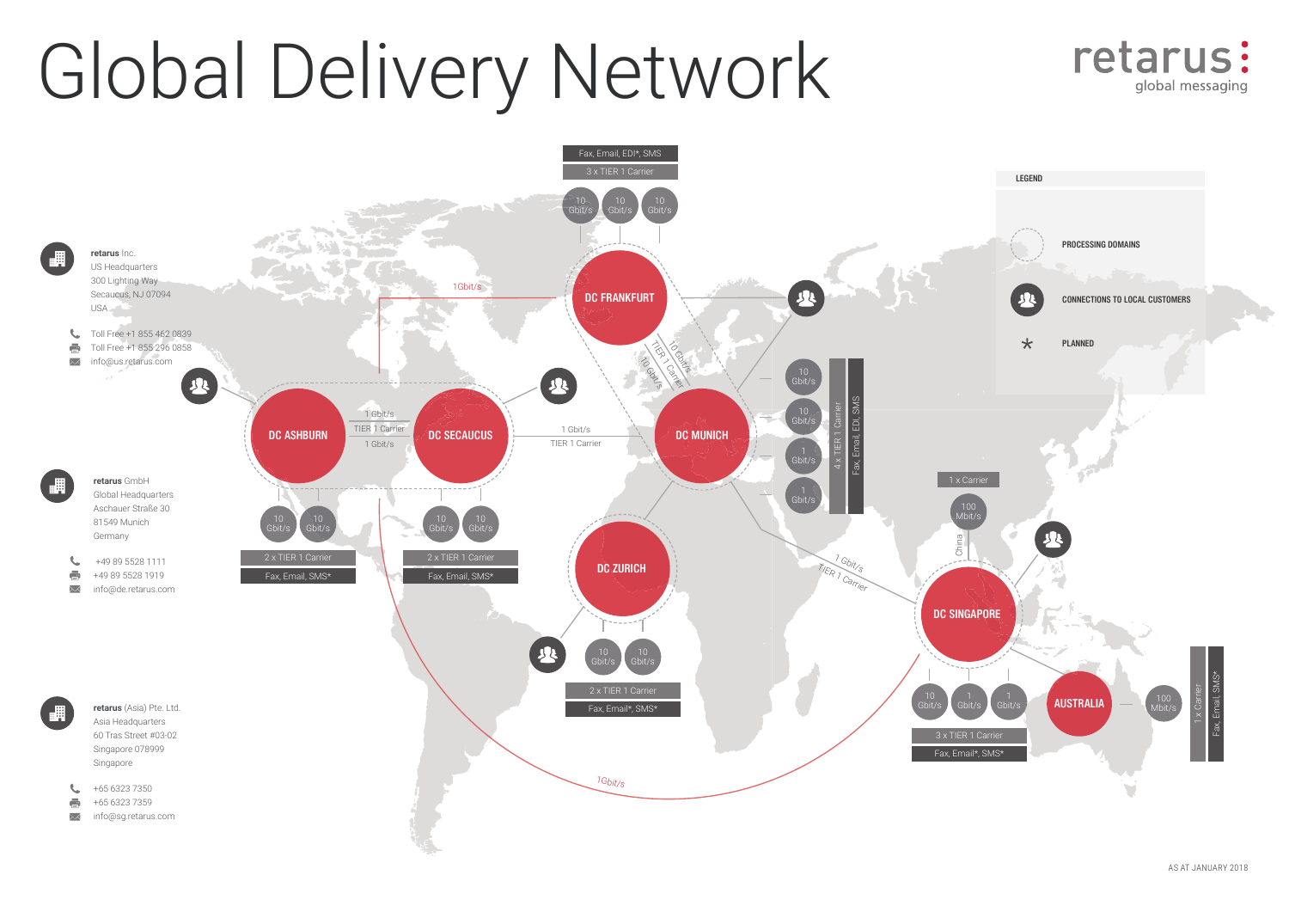# Global Delivery Network